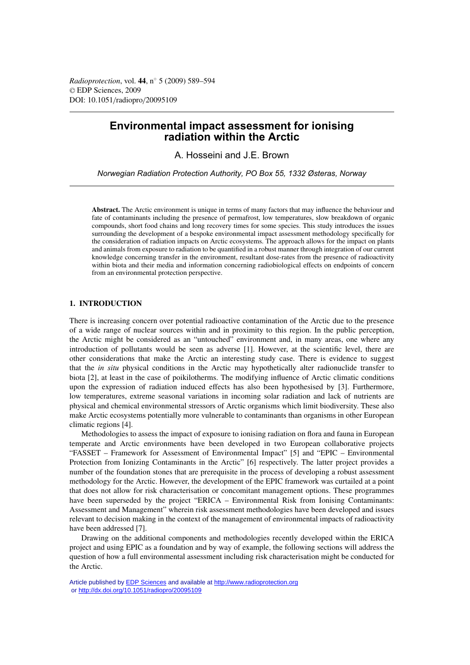*Radioprotection*, vol. **44**, n◦ 5 (2009) 589–594 © EDP Sciences, 2009 DOI: 10.1051/radiopro/20095109

# **Environmental impact assessment for ionising radiation within the Arctic**

A. Hosseini and J.E. Brown

*Norwegian Radiation Protection Authority, PO Box 55, 1332 Østeras, Norway*

**Abstract.** The Arctic environment is unique in terms of many factors that may influence the behaviour and fate of contaminants including the presence of permafrost, low temperatures, slow breakdown of organic compounds, short food chains and long recovery times for some species. This study introduces the issues surrounding the development of a bespoke environmental impact assessment methodology specifically for the consideration of radiation impacts on Arctic ecosystems. The approach allows for the impact on plants and animals from exposure to radiation to be quantified in a robust manner through integration of our current knowledge concerning transfer in the environment, resultant dose-rates from the presence of radioactivity within biota and their media and information concerning radiobiological effects on endpoints of concern from an environmental protection perspective.

# **1. INTRODUCTION**

There is increasing concern over potential radioactive contamination of the Arctic due to the presence of a wide range of nuclear sources within and in proximity to this region. In the public perception, the Arctic might be considered as an "untouched" environment and, in many areas, one where any introduction of pollutants would be seen as adverse [1]. However, at the scientific level, there are other considerations that make the Arctic an interesting study case. There is evidence to suggest that the *in situ* physical conditions in the Arctic may hypothetically alter radionuclide transfer to biota [2], at least in the case of poikilotherms. The modifying influence of Arctic climatic conditions upon the expression of radiation induced effects has also been hypothesised by [3]. Furthermore, low temperatures, extreme seasonal variations in incoming solar radiation and lack of nutrients are physical and chemical environmental stressors of Arctic organisms which limit biodiversity. These also make Arctic ecosystems potentially more vulnerable to contaminants than organisms in other European climatic regions [4].

Methodologies to assess the impact of exposure to ionising radiation on flora and fauna in European temperate and Arctic environments have been developed in two European collaborative projects "FASSET – Framework for Assessment of Environmental Impact" [5] and "EPIC – Environmental Protection from Ionizing Contaminants in the Arctic" [6] respectively. The latter project provides a number of the foundation stones that are prerequisite in the process of developing a robust assessment methodology for the Arctic. However, the development of the EPIC framework was curtailed at a point that does not allow for risk characterisation or concomitant management options. These programmes have been superseded by the project "ERICA – Environmental Risk from Ionising Contaminants: Assessment and Management" wherein risk assessment methodologies have been developed and issues relevant to decision making in the context of the management of environmental impacts of radioactivity have been addressed [7].

Drawing on the additional components and methodologies recently developed within the ERICA project and using EPIC as a foundation and by way of example, the following sections will address the question of how a full environmental assessment including risk characterisation might be conducted for the Arctic.

Article published by [EDP Sciences](http://www.edpsciences.org) and available at<http://www.radioprotection.org> or <http://dx.doi.org/10.1051/radiopro/20095109>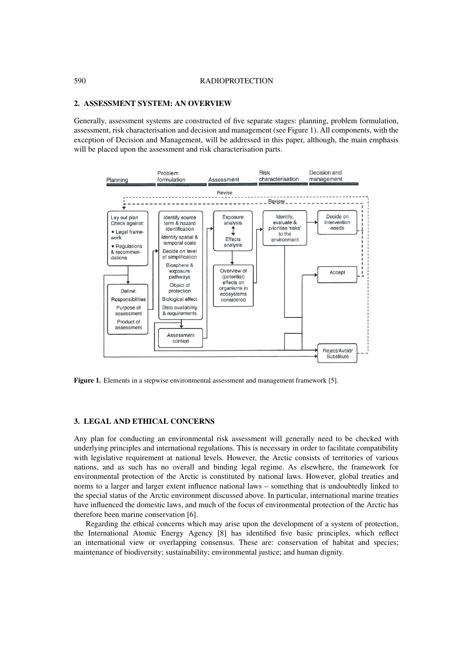#### **2. ASSESSMENT SYSTEM: AN OVERVIEW**

Generally, assessment systems are constructed of five separate stages: planning, problem formulation, assessment, risk characterisation and decision and management (see Figure 1). All components, with the exception of Decision and Management, will be addressed in this paper, although, the main emphasis will be placed upon the assessment and risk characterisation parts.



**Figure 1.** Elements in a stepwise environmental assessment and management framework [5].

# **3. LEGAL AND ETHICAL CONCERNS**

Any plan for conducting an environmental risk assessment will generally need to be checked with underlying principles and international regulations. This is necessary in order to facilitate compatibility with legislative requirement at national levels. However, the Arctic consists of territories of various nations, and as such has no overall and binding legal regime. As elsewhere, the framework for environmental protection of the Arctic is constituted by national laws. However, global treaties and norms to a larger and larger extent influence national laws – something that is undoubtedly linked to the special status of the Arctic environment discussed above. In particular, international marine treaties have influenced the domestic laws, and much of the focus of environmental protection of the Arctic has therefore been marine conservation [6].

Regarding the ethical concerns which may arise upon the development of a system of protection, the International Atomic Energy Agency [8] has identified five basic principles, which reflect an international view or overlapping consensus. These are: conservation of habitat and species; maintenance of biodiversity; sustainability; environmental justice; and human dignity.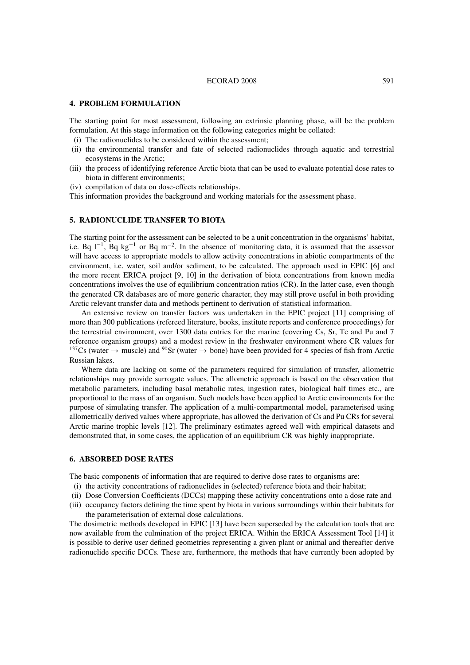#### ECORAD 2008 591

# **4. PROBLEM FORMULATION**

The starting point for most assessment, following an extrinsic planning phase, will be the problem formulation. At this stage information on the following categories might be collated:

- (i) The radionuclides to be considered within the assessment;
- (ii) the environmental transfer and fate of selected radionuclides through aquatic and terrestrial ecosystems in the Arctic;
- (iii) the process of identifying reference Arctic biota that can be used to evaluate potential dose rates to biota in different environments;
- (iv) compilation of data on dose-effects relationships.

This information provides the background and working materials for the assessment phase.

# **5. RADIONUCLIDE TRANSFER TO BIOTA**

The starting point for the assessment can be selected to be a unit concentration in the organisms' habitat, i.e. Bq  $l^{-1}$ , Bq kg<sup>-1</sup> or Bq m<sup>-2</sup>. In the absence of monitoring data, it is assumed that the assessor will have access to appropriate models to allow activity concentrations in abiotic compartments of the environment, i.e. water, soil and/or sediment, to be calculated. The approach used in EPIC [6] and the more recent ERICA project [9, 10] in the derivation of biota concentrations from known media concentrations involves the use of equilibrium concentration ratios (CR). In the latter case, even though the generated CR databases are of more generic character, they may still prove useful in both providing Arctic relevant transfer data and methods pertinent to derivation of statistical information.

An extensive review on transfer factors was undertaken in the EPIC project [11] comprising of more than 300 publications (refereed literature, books, institute reports and conference proceedings) for the terrestrial environment, over 1300 data entries for the marine (covering Cs, Sr, Tc and Pu and 7 reference organism groups) and a modest review in the freshwater environment where CR values for <sup>137</sup>Cs (water  $\rightarrow$  muscle) and <sup>90</sup>Sr (water  $\rightarrow$  bone) have been provided for 4 species of fish from Arctic Russian lakes.

Where data are lacking on some of the parameters required for simulation of transfer, allometric relationships may provide surrogate values. The allometric approach is based on the observation that metabolic parameters, including basal metabolic rates, ingestion rates, biological half times etc., are proportional to the mass of an organism. Such models have been applied to Arctic environments for the purpose of simulating transfer. The application of a multi-compartmental model, parameterised using allometrically derived values where appropriate, has allowed the derivation of Cs and Pu CRs for several Arctic marine trophic levels [12]. The preliminary estimates agreed well with empirical datasets and demonstrated that, in some cases, the application of an equilibrium CR was highly inappropriate.

## **6. ABSORBED DOSE RATES**

The basic components of information that are required to derive dose rates to organisms are:

- (i) the activity concentrations of radionuclides in (selected) reference biota and their habitat;
- (ii) Dose Conversion Coefficients (DCCs) mapping these activity concentrations onto a dose rate and
- (iii) occupancy factors defining the time spent by biota in various surroundings within their habitats for the parameterisation of external dose calculations.

The dosimetric methods developed in EPIC [13] have been superseded by the calculation tools that are now available from the culmination of the project ERICA. Within the ERICA Assessment Tool [14] it is possible to derive user defined geometries representing a given plant or animal and thereafter derive radionuclide specific DCCs. These are, furthermore, the methods that have currently been adopted by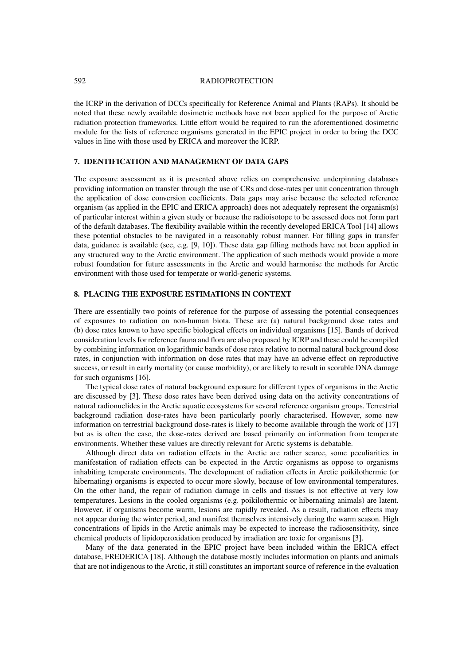#### 592 RADIOPROTECTION

the ICRP in the derivation of DCCs specifically for Reference Animal and Plants (RAPs). It should be noted that these newly available dosimetric methods have not been applied for the purpose of Arctic radiation protection frameworks. Little effort would be required to run the aforementioned dosimetric module for the lists of reference organisms generated in the EPIC project in order to bring the DCC values in line with those used by ERICA and moreover the ICRP.

# **7. IDENTIFICATION AND MANAGEMENT OF DATA GAPS**

The exposure assessment as it is presented above relies on comprehensive underpinning databases providing information on transfer through the use of CRs and dose-rates per unit concentration through the application of dose conversion coefficients. Data gaps may arise because the selected reference organism (as applied in the EPIC and ERICA approach) does not adequately represent the organism(s) of particular interest within a given study or because the radioisotope to be assessed does not form part of the default databases. The flexibility available within the recently developed ERICA Tool [14] allows these potential obstacles to be navigated in a reasonably robust manner. For filling gaps in transfer data, guidance is available (see, e.g. [9, 10]). These data gap filling methods have not been applied in any structured way to the Arctic environment. The application of such methods would provide a more robust foundation for future assessments in the Arctic and would harmonise the methods for Arctic environment with those used for temperate or world-generic systems.

# **8. PLACING THE EXPOSURE ESTIMATIONS IN CONTEXT**

There are essentially two points of reference for the purpose of assessing the potential consequences of exposures to radiation on non-human biota. These are (a) natural background dose rates and (b) dose rates known to have specific biological effects on individual organisms [15]. Bands of derived consideration levels for reference fauna and flora are also proposed by ICRP and these could be compiled by combining information on logarithmic bands of dose rates relative to normal natural background dose rates, in conjunction with information on dose rates that may have an adverse effect on reproductive success, or result in early mortality (or cause morbidity), or are likely to result in scorable DNA damage for such organisms [16].

The typical dose rates of natural background exposure for different types of organisms in the Arctic are discussed by [3]. These dose rates have been derived using data on the activity concentrations of natural radionuclides in the Arctic aquatic ecosystems for several reference organism groups. Terrestrial background radiation dose-rates have been particularly poorly characterised. However, some new information on terrestrial background dose-rates is likely to become available through the work of [17] but as is often the case, the dose-rates derived are based primarily on information from temperate environments. Whether these values are directly relevant for Arctic systems is debatable.

Although direct data on radiation effects in the Arctic are rather scarce, some peculiarities in manifestation of radiation effects can be expected in the Arctic organisms as oppose to organisms inhabiting temperate environments. The development of radiation effects in Arctic poikilothermic (or hibernating) organisms is expected to occur more slowly, because of low environmental temperatures. On the other hand, the repair of radiation damage in cells and tissues is not effective at very low temperatures. Lesions in the cooled organisms (e.g. poikilothermic or hibernating animals) are latent. However, if organisms become warm, lesions are rapidly revealed. As a result, radiation effects may not appear during the winter period, and manifest themselves intensively during the warm season. High concentrations of lipids in the Arctic animals may be expected to increase the radiosensitivity, since chemical products of lipidoperoxidation produced by irradiation are toxic for organisms [3].

Many of the data generated in the EPIC project have been included within the ERICA effect database, FREDERICA [18]. Although the database mostly includes information on plants and animals that are not indigenous to the Arctic, it still constitutes an important source of reference in the evaluation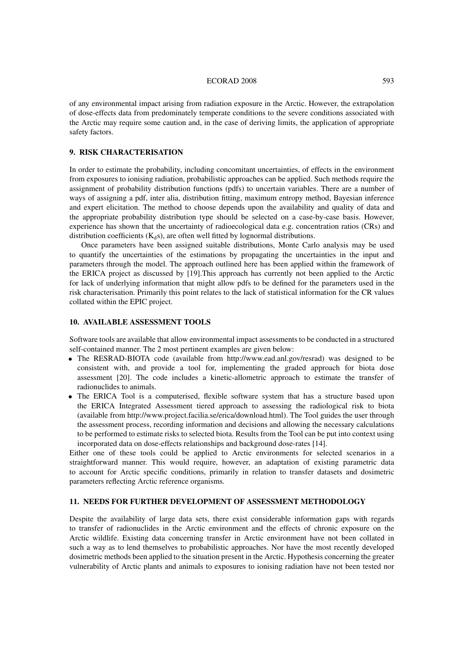#### ECORAD 2008 593

of any environmental impact arising from radiation exposure in the Arctic. However, the extrapolation of dose-effects data from predominately temperate conditions to the severe conditions associated with the Arctic may require some caution and, in the case of deriving limits, the application of appropriate safety factors.

### **9. RISK CHARACTERISATION**

In order to estimate the probability, including concomitant uncertainties, of effects in the environment from exposures to ionising radiation, probabilistic approaches can be applied. Such methods require the assignment of probability distribution functions (pdfs) to uncertain variables. There are a number of ways of assigning a pdf, inter alia, distribution fitting, maximum entropy method, Bayesian inference and expert elicitation. The method to choose depends upon the availability and quality of data and the appropriate probability distribution type should be selected on a case-by-case basis. However, experience has shown that the uncertainty of radioecological data e.g. concentration ratios (CRs) and distribution coefficients  $(K_d s)$ , are often well fitted by lognormal distributions.

Once parameters have been assigned suitable distributions, Monte Carlo analysis may be used to quantify the uncertainties of the estimations by propagating the uncertainties in the input and parameters through the model. The approach outlined here has been applied within the framework of the ERICA project as discussed by [19].This approach has currently not been applied to the Arctic for lack of underlying information that might allow pdfs to be defined for the parameters used in the risk characterisation. Primarily this point relates to the lack of statistical information for the CR values collated within the EPIC project.

# **10. AVAILABLE ASSESSMENT TOOLS**

Software tools are available that allow environmental impact assessments to be conducted in a structured self-contained manner. The 2 most pertinent examples are given below:

- The RESRAD-BIOTA code (available from http://www.ead.anl.gov/resrad) was designed to be consistent with, and provide a tool for, implementing the graded approach for biota dose assessment [20]. The code includes a kinetic-allometric approach to estimate the transfer of radionuclides to animals.
- The ERICA Tool is a computerised, flexible software system that has a structure based upon the ERICA Integrated Assessment tiered approach to assessing the radiological risk to biota (available from http://www.project.facilia.se/erica/download.html). The Tool guides the user through the assessment process, recording information and decisions and allowing the necessary calculations to be performed to estimate risks to selected biota. Results from the Tool can be put into context using incorporated data on dose-effects relationships and background dose-rates [14].

Either one of these tools could be applied to Arctic environments for selected scenarios in a straightforward manner. This would require, however, an adaptation of existing parametric data to account for Arctic specific conditions, primarily in relation to transfer datasets and dosimetric parameters reflecting Arctic reference organisms.

# **11. NEEDS FOR FURTHER DEVELOPMENT OF ASSESSMENT METHODOLOGY**

Despite the availability of large data sets, there exist considerable information gaps with regards to transfer of radionuclides in the Arctic environment and the effects of chronic exposure on the Arctic wildlife. Existing data concerning transfer in Arctic environment have not been collated in such a way as to lend themselves to probabilistic approaches. Nor have the most recently developed dosimetric methods been applied to the situation present in the Arctic. Hypothesis concerning the greater vulnerability of Arctic plants and animals to exposures to ionising radiation have not been tested nor